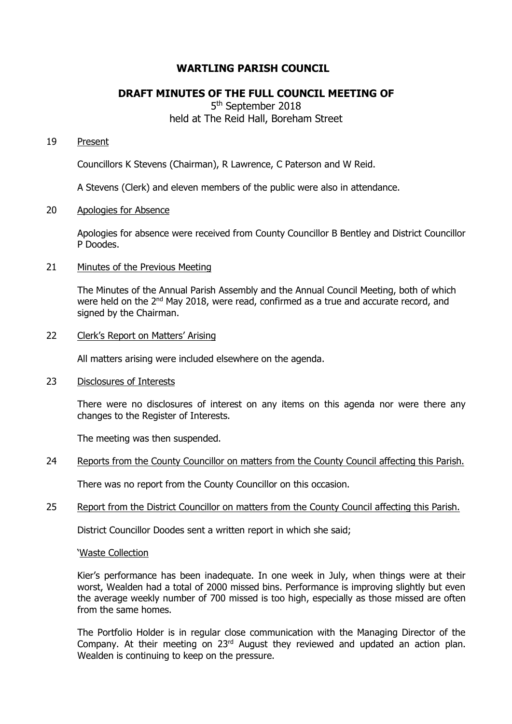# **WARTLING PARISH COUNCIL**

# **DRAFT MINUTES OF THE FULL COUNCIL MEETING OF**

5<sup>th</sup> September 2018 held at The Reid Hall, Boreham Street

### 19 Present

Councillors K Stevens (Chairman), R Lawrence, C Paterson and W Reid.

A Stevens (Clerk) and eleven members of the public were also in attendance.

#### 20 Apologies for Absence

Apologies for absence were received from County Councillor B Bentley and District Councillor P Doodes.

### 21 Minutes of the Previous Meeting

The Minutes of the Annual Parish Assembly and the Annual Council Meeting, both of which were held on the 2<sup>nd</sup> May 2018, were read, confirmed as a true and accurate record, and signed by the Chairman.

### 22 Clerk's Report on Matters' Arising

All matters arising were included elsewhere on the agenda.

23 Disclosures of Interests

There were no disclosures of interest on any items on this agenda nor were there any changes to the Register of Interests.

The meeting was then suspended.

24 Reports from the County Councillor on matters from the County Council affecting this Parish.

There was no report from the County Councillor on this occasion.

25 Report from the District Councillor on matters from the County Council affecting this Parish.

District Councillor Doodes sent a written report in which she said;

#### 'Waste Collection

Kier's performance has been inadequate. In one week in July, when things were at their worst, Wealden had a total of 2000 missed bins. Performance is improving slightly but even the average weekly number of 700 missed is too high, especially as those missed are often from the same homes.

The Portfolio Holder is in regular close communication with the Managing Director of the Company. At their meeting on 23<sup>rd</sup> August they reviewed and updated an action plan. Wealden is continuing to keep on the pressure.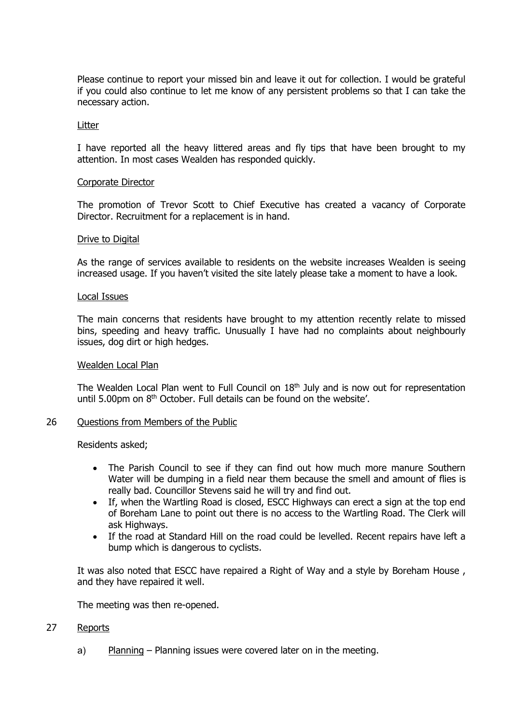Please continue to report your missed bin and leave it out for collection. I would be grateful if you could also continue to let me know of any persistent problems so that I can take the necessary action.

#### Litter

I have reported all the heavy littered areas and fly tips that have been brought to my attention. In most cases Wealden has responded quickly.

#### Corporate Director

The promotion of Trevor Scott to Chief Executive has created a vacancy of Corporate Director. Recruitment for a replacement is in hand.

#### Drive to Digital

As the range of services available to residents on the website increases Wealden is seeing increased usage. If you haven't visited the site lately please take a moment to have a look.

### Local Issues

The main concerns that residents have brought to my attention recently relate to missed bins, speeding and heavy traffic. Unusually I have had no complaints about neighbourly issues, dog dirt or high hedges.

#### Wealden Local Plan

The Wealden Local Plan went to Full Council on  $18<sup>th</sup>$  July and is now out for representation until 5.00pm on 8th October. Full details can be found on the website'.

#### 26 Questions from Members of the Public

Residents asked;

- The Parish Council to see if they can find out how much more manure Southern Water will be dumping in a field near them because the smell and amount of flies is really bad. Councillor Stevens said he will try and find out.
- If, when the Wartling Road is closed, ESCC Highways can erect a sign at the top end of Boreham Lane to point out there is no access to the Wartling Road. The Clerk will ask Highways.
- If the road at Standard Hill on the road could be levelled. Recent repairs have left a bump which is dangerous to cyclists.

It was also noted that ESCC have repaired a Right of Way and a style by Boreham House , and they have repaired it well.

The meeting was then re-opened.

## 27 Reports

a) Planning – Planning issues were covered later on in the meeting.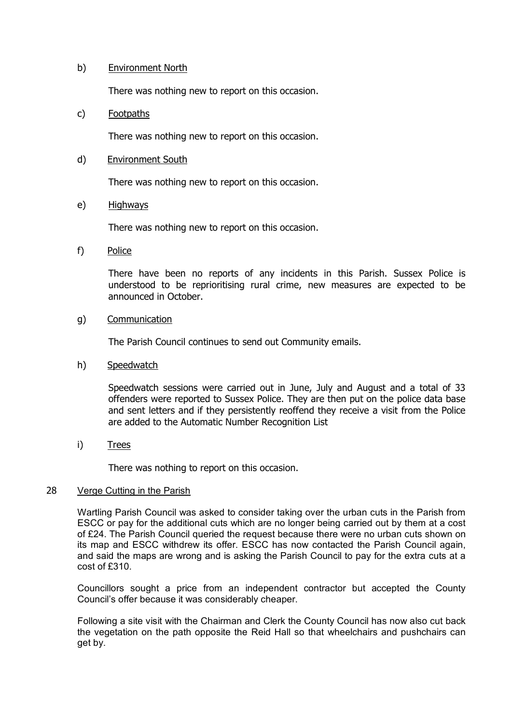## b) Environment North

There was nothing new to report on this occasion.

# c) Footpaths

There was nothing new to report on this occasion.

# d) Environment South

There was nothing new to report on this occasion.

## e) Highways

There was nothing new to report on this occasion.

## f) Police

There have been no reports of any incidents in this Parish. Sussex Police is understood to be reprioritising rural crime, new measures are expected to be announced in October.

# g) Communication

The Parish Council continues to send out Community emails.

## h) Speedwatch

Speedwatch sessions were carried out in June, July and August and a total of 33 offenders were reported to Sussex Police. They are then put on the police data base and sent letters and if they persistently reoffend they receive a visit from the Police are added to the Automatic Number Recognition List

i) Trees

There was nothing to report on this occasion.

## 28 Verge Cutting in the Parish

Wartling Parish Council was asked to consider taking over the urban cuts in the Parish from ESCC or pay for the additional cuts which are no longer being carried out by them at a cost of £24. The Parish Council queried the request because there were no urban cuts shown on its map and ESCC withdrew its offer. ESCC has now contacted the Parish Council again, and said the maps are wrong and is asking the Parish Council to pay for the extra cuts at a cost of £310.

Councillors sought a price from an independent contractor but accepted the County Council's offer because it was considerably cheaper.

Following a site visit with the Chairman and Clerk the County Council has now also cut back the vegetation on the path opposite the Reid Hall so that wheelchairs and pushchairs can get by.